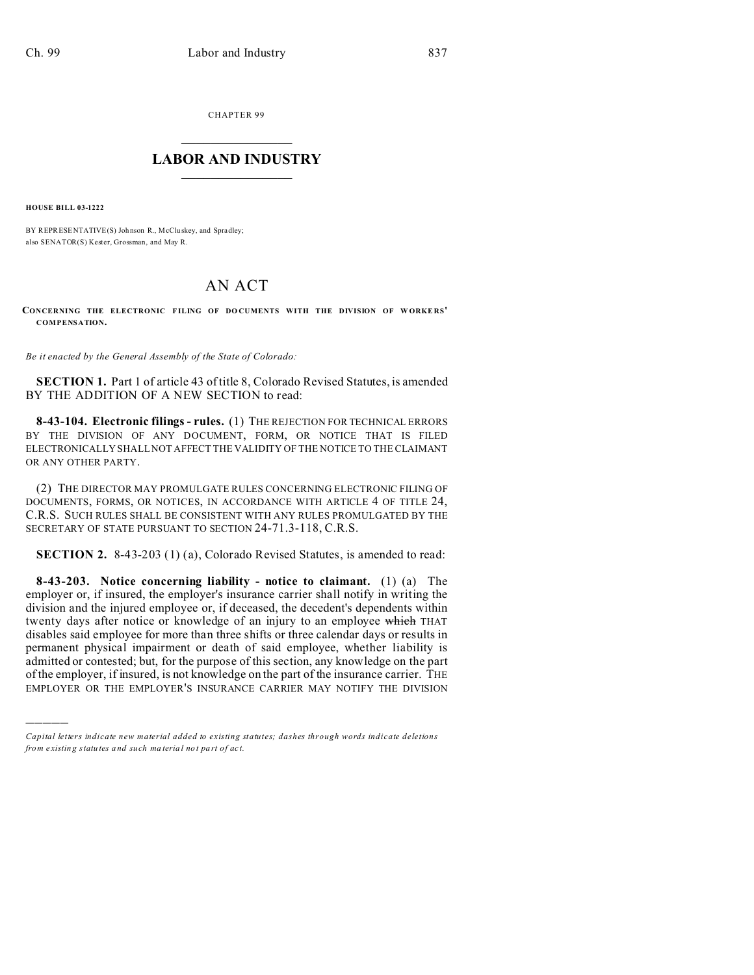CHAPTER 99  $\overline{\phantom{a}}$  , where  $\overline{\phantom{a}}$ 

## **LABOR AND INDUSTRY**  $\frac{1}{\sqrt{2}}$  ,  $\frac{1}{\sqrt{2}}$  ,  $\frac{1}{\sqrt{2}}$  ,  $\frac{1}{\sqrt{2}}$  ,  $\frac{1}{\sqrt{2}}$  ,  $\frac{1}{\sqrt{2}}$

**HOUSE BILL 03-1222**

)))))

BY REPRESENTATIVE(S) Johnson R., McCluskey, and Spradley; also SENATOR(S) Kester, Grossman, and May R.

## AN ACT

**CONCERNING THE ELECTRONIC FILING OF DO CUMENTS WITH THE DIVISION OF W ORKE RS' COMPENSATION.**

*Be it enacted by the General Assembly of the State of Colorado:*

**SECTION 1.** Part 1 of article 43 of title 8, Colorado Revised Statutes, is amended BY THE ADDITION OF A NEW SECTION to read:

**8-43-104. Electronic filings - rules.** (1) THE REJECTION FOR TECHNICAL ERRORS BY THE DIVISION OF ANY DOCUMENT, FORM, OR NOTICE THAT IS FILED ELECTRONICALLY SHALL NOT AFFECT THE VALIDITY OF THE NOTICE TO THE CLAIMANT OR ANY OTHER PARTY.

(2) THE DIRECTOR MAY PROMULGATE RULES CONCERNING ELECTRONIC FILING OF DOCUMENTS, FORMS, OR NOTICES, IN ACCORDANCE WITH ARTICLE 4 OF TITLE 24, C.R.S. SUCH RULES SHALL BE CONSISTENT WITH ANY RULES PROMULGATED BY THE SECRETARY OF STATE PURSUANT TO SECTION 24-71.3-118, C.R.S.

**SECTION 2.** 8-43-203 (1) (a), Colorado Revised Statutes, is amended to read:

**8-43-203. Notice concerning liability - notice to claimant.** (1) (a) The employer or, if insured, the employer's insurance carrier shall notify in writing the division and the injured employee or, if deceased, the decedent's dependents within twenty days after notice or knowledge of an injury to an employee which THAT disables said employee for more than three shifts or three calendar days or results in permanent physical impairment or death of said employee, whether liability is admitted or contested; but, for the purpose of this section, any knowledge on the part of the employer, if insured, is not knowledge on the part of the insurance carrier. THE EMPLOYER OR THE EMPLOYER'S INSURANCE CARRIER MAY NOTIFY THE DIVISION

*Capital letters indicate new material added to existing statutes; dashes through words indicate deletions from e xistin g statu tes a nd such ma teria l no t pa rt of ac t.*